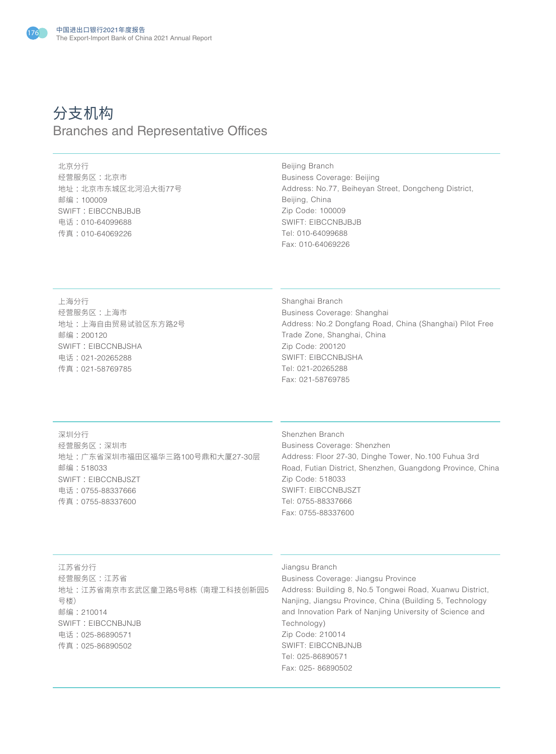

# 分支机构 Branches and Representative Offices

## 北京分行

经营服务区 :北京市 地址 :北京市东城区北河沿大街77号 邮编 :100009 SWIFT: EIBCCNBJBJB 电话 :010-64099688 传真 :010-64069226

Beijing Branch Business Coverage: Beijing Address: No.77, Beiheyan Street, Dongcheng District, Beijing, China Zip Code: 100009 SWIFT: EIBCCNBJBJB Tel: 010-64099688 Fax: 010-64069226

上海分行 经营服务区 :上海市 地址 :上海自由贸易试验区东方路2号 邮编 :200120 SWIFT: EIBCCNBJSHA 电话 :021-20265288 传真 :021-58769785

Shanghai Branch Business Coverage: Shanghai Address: No.2 Dongfang Road, China (Shanghai) Pilot Free Trade Zone, Shanghai, China Zip Code: 200120 SWIFT: EIBCCNBJSHA Tel: 021-20265288 Fax: 021-58769785

深圳分行 经营服务区 :深圳市 地址 :广东省深圳市福田区福华三路100号鼎和大厦27-30层 邮编 :518033 SWIFT: EIBCCNBJSZT 电话 :0755-88337666 传真 :0755-88337600

Shenzhen Branch Business Coverage: Shenzhen Address: Floor 27-30, Dinghe Tower, No.100 Fuhua 3rd Road, Futian District, Shenzhen, Guangdong Province, China Zip Code: 518033 SWIFT: EIBCCNBJSZT Tel: 0755-88337666 Fax: 0755-88337600

江苏省分行 经营服务区 :江苏省 地址 :江苏省南京市玄武区童卫路5号8栋(南理工科技创新园5 号楼) 邮编 :210014 SWIFT: EIBCCNBJNJB 电话 :025-86890571 传真 :025-86890502

## Jiangsu Branch

Business Coverage: Jiangsu Province Address: Building 8, No.5 Tongwei Road, Xuanwu District, Nanjing, Jiangsu Province, China (Building 5, Technology and Innovation Park of Nanjing University of Science and Technology) Zip Code: 210014 SWIFT: EIBCCNBJNJB Tel: 025-86890571 Fax: 025- 86890502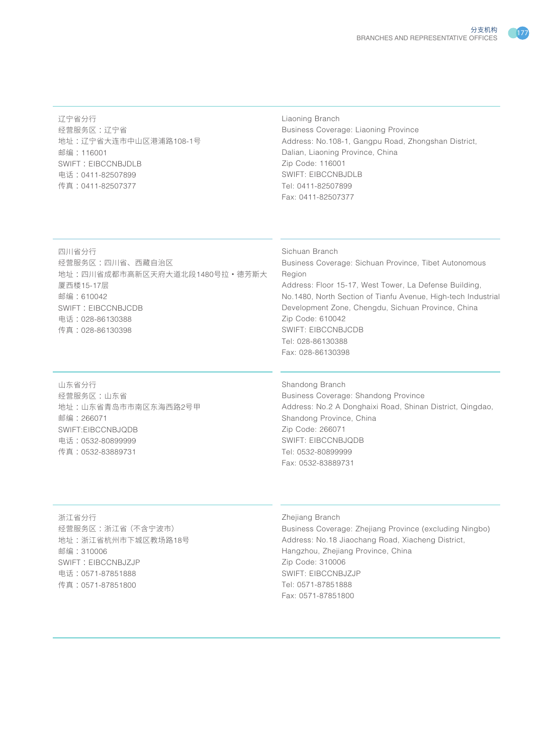辽宁省分行 经营服务区 :辽宁省 地址 :辽宁省大连市中山区港浦路108-1号 邮编 :116001 SWIFT : EIBCCNBJDLB 电话 :0411-82507899 传真 :0411-82507377

# Liaoning Branch Business Coverage: Liaoning Province Address: No.108-1, Gangpu Road, Zhongshan District, Dalian, Liaoning Province, China Zip Code: 116001 SWIFT: EIBCCNBJDLB Tel: 0411-82507899 Fax: 0411-82507377

四川省分行 经营服务区 :四川省、西藏自治区 地址 :四川省成都市高新区天府大道北段1480号拉·德芳斯大 厦西楼15-17层 邮编 :610042 SWIFT: EIBCCNBJCDB 电话 :028-86130388 传真 :028-86130398

## Sichuan Branch

Business Coverage: Sichuan Province, Tibet Autonomous Region Address: Floor 15-17, West Tower, La Defense Building, No.1480, North Section of Tianfu Avenue, High-tech Industrial Development Zone, Chengdu, Sichuan Province, China Zip Code: 610042 SWIFT: EIBCCNBJCDB Tel: 028-86130388 Fax: 028-86130398

山东省分行 经营服务区 :山东省 地址 :山东省青岛市市南区东海西路2号甲 邮编 :266071 SWIFT:EIBCCNBJQDB 电话 :0532-80899999 传真 :0532-83889731

Shandong Branch

Business Coverage: Shandong Province Address: No.2 A Donghaixi Road, Shinan District, Qingdao, Shandong Province, China Zip Code: 266071 SWIFT: EIBCCNBJQDB Tel: 0532-80899999 Fax: 0532-83889731

浙江省分行 经营服务区 :浙江省(不含宁波市) 地址 :浙江省杭州市下城区教场路18号 邮编 :310006 SWIFT: EIBCCNBJZJP 电话 :0571-87851888 传真 :0571-87851800

# Zhejiang Branch

Business Coverage: Zhejiang Province (excluding Ningbo) Address: No.18 Jiaochang Road, Xiacheng District, Hangzhou, Zhejiang Province, China Zip Code: 310006 SWIFT: EIBCCNBJZJP Tel: 0571-87851888 Fax: 0571-87851800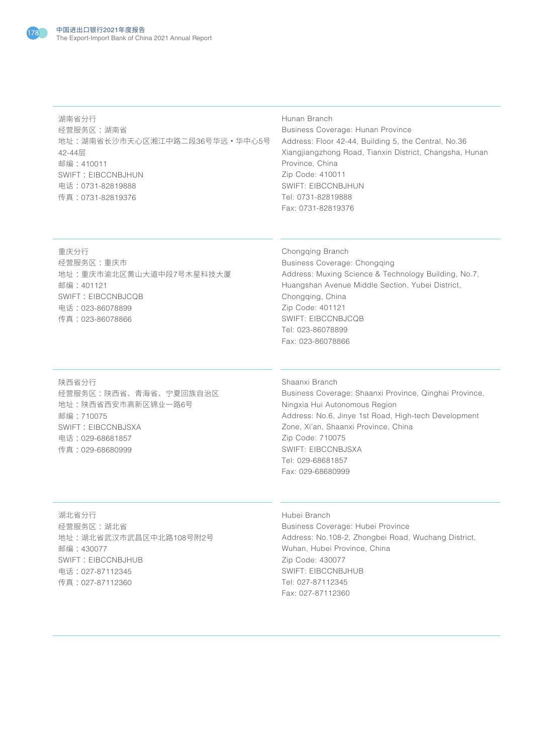

湖南省分行 经营服务区 :湖南省 地址 :湖南省长沙市天心区湘江中路二段36号华远·华中心5号 42-44层 邮编 :410011 SWIFT : EIBCCNBJHUN 电话 :0731-82819888 传真 :0731-82819376

#### Hunan Branch

Business Coverage: Hunan Province Address: Floor 42-44, Building 5, the Central, No.36 Xiangjiangzhong Road, Tianxin District, Changsha, Hunan Province, China Zip Code: 410011 SWIFT: EIBCCNBJHUN Tel: 0731-82819888 Fax: 0731-82819376

重庆分行 经营服务区 :重庆市 地址 :重庆市渝北区黄山大道中段7号木星科技大厦 邮编 :401121 SWIFT: EIBCCNBJCQB 电话 :023-86078899 传真 :023-86078866

Chongqing Branch Business Coverage: Chongqing Address: Muxing Science & Technology Building, No.7, Huangshan Avenue Middle Section, Yubei District, Chongqing, China Zip Code: 401121 SWIFT: EIBCCNBJCQB Tel: 023-86078899 Fax: 023-86078866

陕西省分行 经营服务区 :陕西省、青海省、宁夏回族自治区 地址 :陕西省西安市高新区锦业一路6号 邮编 :710075 SWIFT: EIBCCNBJSXA 电话 :029-68681857 传真 :029-68680999

Shaanxi Branch

Business Coverage: Shaanxi Province, Qinghai Province, Ningxia Hui Autonomous Region Address: No.6, Jinye 1st Road, High-tech Development Zone, Xi'an, Shaanxi Province, China Zip Code: 710075 SWIFT: EIBCCNBJSXA Tel: 029-68681857 Fax: 029-68680999

湖北省分行 经营服务区 :湖北省 地址 :湖北省武汉市武昌区中北路108号附2号 邮编 :430077 SWIFT: EIBCCNBJHUB 电话 :027-87112345 传真 :027-87112360

Hubei Branch

Business Coverage: Hubei Province Address: No.108-2, Zhongbei Road, Wuchang District, Wuhan, Hubei Province, China Zip Code: 430077 SWIFT: EIBCCNBJHUB Tel: 027-87112345 Fax: 027-87112360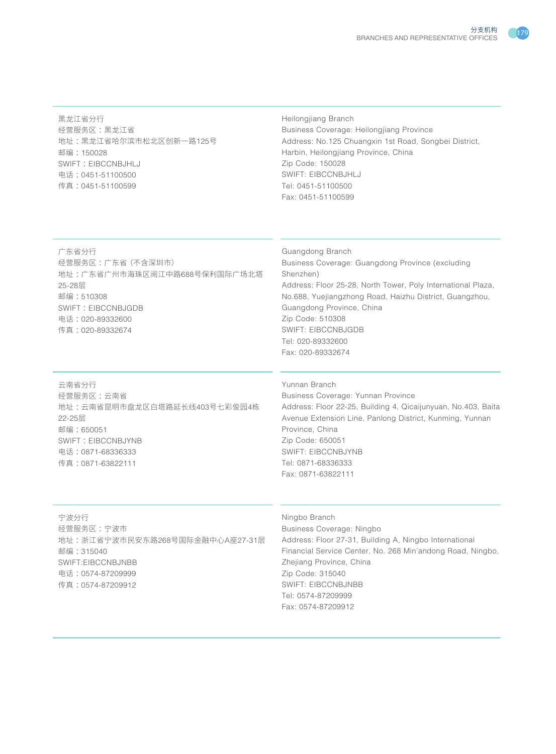黑龙江省分行 经营服务区 :黑龙江省 地址 :黑龙江省哈尔滨市松北区创新一路125号 邮编 :150028 SWIFT: EIBCCNBJHLJ 电话 :0451-51100500 传真 :0451-51100599

## Heilongjiang Branch Business Coverage: Heilongjiang Province Address: No.125 Chuangxin 1st Road, Songbei District, Harbin, Heilongjiang Province, China Zip Code: 150028 SWIFT: EIBCCNBJHLJ Tel: 0451-51100500 Fax: 0451-51100599

# 广东省分行

经营服务区 :广东省(不含深圳市) 地址 :广东省广州市海珠区阅江中路688号保利国际广场北塔 25-28层 邮编 :510308 SWIFT: EIBCCNBJGDB 电话 :020-89332600 传真 :020-89332674

# Guangdong Branch Business Coverage: Guangdong Province (excluding Shenzhen) Address: Floor 25-28, North Tower, Poly International Plaza, No.688, Yuejiangzhong Road, Haizhu District, Guangzhou, Guangdong Province, China Zip Code: 510308 SWIFT: EIBCCNBJGDB Tel: 020-89332600 Fax: 020-89332674

云南省分行 经营服务区 :云南省 地址 :云南省昆明市盘龙区白塔路延长线403号七彩俊园4栋 22-25层 邮编 :650051 SWIFT: EIBCCNBJYNB 电话 :0871-68336333 传真 :0871-63822111

#### Yunnan Branch

Business Coverage: Yunnan Province Address: Floor 22-25, Building 4, Qicaijunyuan, No.403, Baita Avenue Extension Line, Panlong District, Kunming, Yunnan Province, China Zip Code: 650051 SWIFT: EIBCCNBJYNB Tel: 0871-68336333 Fax: 0871-63822111

#### 宁波分行

经营服务区 :宁波市 地址 :浙江省宁波市民安东路268号国际金融中心A座27-31层 邮编 :315040 SWIFT:EIBCCNBJNBB 电话 :0574-87209999 传真 :0574-87209912

# Ningbo Branch

Business Coverage: Ningbo Address: Floor 27-31, Building A, Ningbo International Financial Service Center, No. 268 Min'andong Road, Ningbo, Zhejiang Province, China Zip Code: 315040 SWIFT: EIBCCNBJNBB Tel: 0574-87209999 Fax: 0574-87209912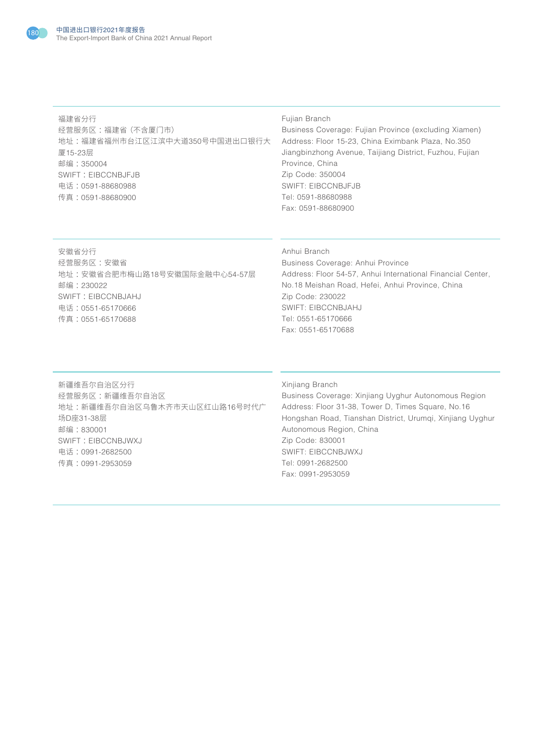

福建省分行 经营服务区 :福建省(不含厦门市) 地址 :福建省福州市台江区江滨中大道350号中国进出口银行大 厦15-23层 邮编 :350004 SWIFT: EIBCCNBJFJB 电话 :0591-88680988 传真 :0591-88680900

## Fujian Branch

Business Coverage: Fujian Province (excluding Xiamen) Address: Floor 15-23, China Eximbank Plaza, No.350 Jiangbinzhong Avenue, Taijiang District, Fuzhou, Fujian Province, China Zip Code: 350004 SWIFT: EIBCCNBJFJB Tel: 0591-88680988 Fax: 0591-88680900

安徽省分行 经营服务区 :安徽省 地址 :安徽省合肥市梅山路18号安徽国际金融中心54-57层 邮编 :230022 SWIFT: EIBCCNBJAHJ 电话 :0551-65170666 传真 :0551-65170688

# Anhui Branch

Business Coverage: Anhui Province Address: Floor 54-57, Anhui International Financial Center, No.18 Meishan Road, Hefei, Anhui Province, China Zip Code: 230022 SWIFT: EIBCCNBJAHJ Tel: 0551-65170666 Fax: 0551-65170688

新疆维吾尔自治区分行 经营服务区 :新疆维吾尔自治区 地址 :新疆维吾尔自治区乌鲁木齐市天山区红山路16号时代广 场D座31-38层 邮编 :830001 SWIFT: EIBCCNBJWXJ 电话 :0991-2682500 传真 :0991-2953059

### Xinjiang Branch

Business Coverage: Xinjiang Uyghur Autonomous Region Address: Floor 31-38, Tower D, Times Square, No.16 Hongshan Road, Tianshan District, Urumqi, Xinjiang Uyghur Autonomous Region, China Zip Code: 830001 SWIFT: EIBCCNBJWXJ Tel: 0991-2682500 Fax: 0991-2953059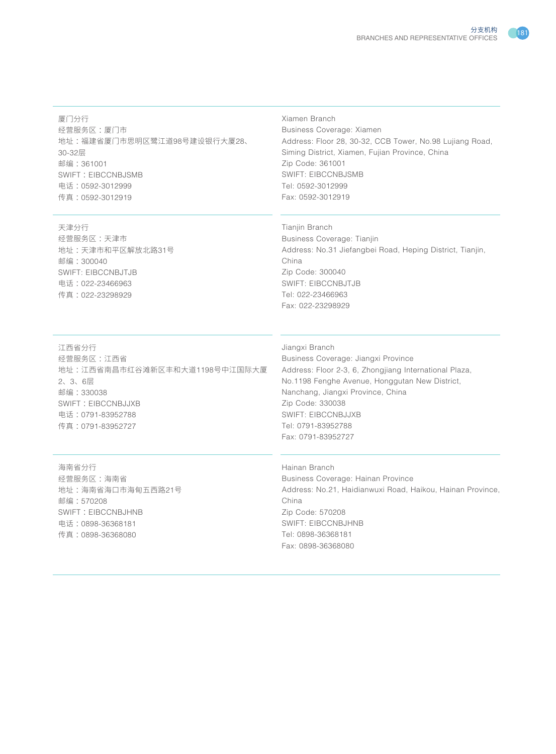#### 厦门分行

经营服务区:厦门市 地址 :福建省厦门市思明区鹭江道98号建设银行大厦28、 30-32层 邮编 :361001 SWIFT: EIBCCNBJSMB 电话 :0592-3012999 传真 :0592-3012919

#### 天津分行

经营服务区 :天津市 地址 :天津市和平区解放北路31号 邮编 :300040 SWIFT: EIBCCNBJTJB 电话 :022-23466963 传真 :022-23298929

# Xiamen Branch

Business Coverage: Xiamen Address: Floor 28, 30-32, CCB Tower, No.98 Lujiang Road, Siming District, Xiamen, Fujian Province, China Zip Code: 361001 SWIFT: EIBCCNBJSMB Tel: 0592-3012999 Fax: 0592-3012919

## Tianjin Branch

Business Coverage: Tianjin Address: No.31 Jiefangbei Road, Heping District, Tianjin, China Zip Code: 300040 SWIFT: EIBCCNBJTJB Tel: 022-23466963 Fax: 022-23298929

# 江西省分行

经营服务区 :江西省 地址 :江西省南昌市红谷滩新区丰和大道1198号中江国际大厦 2、3、6层 邮编 :330038 SWIFT: EIBCCNBJJXB 电话 :0791-83952788 传真 :0791-83952727

# Jiangxi Branch

Business Coverage: Jiangxi Province Address: Floor 2-3, 6, Zhongjiang International Plaza, No.1198 Fenghe Avenue, Honggutan New District, Nanchang, Jiangxi Province, China Zip Code: 330038 SWIFT: EIBCCNBJJXB Tel: 0791-83952788 Fax: 0791-83952727

海南省分行 经营服务区 :海南省 地址 :海南省海口市海甸五西路21号 邮编 :570208 SWIFT: EIBCCNBJHNB 电话 :0898-36368181 传真 :0898-36368080

Hainan Branch Business Coverage: Hainan Province Address: No.21, Haidianwuxi Road, Haikou, Hainan Province, China Zip Code: 570208 SWIFT: EIBCCNBJHNB Tel: 0898-36368181 Fax: 0898-36368080

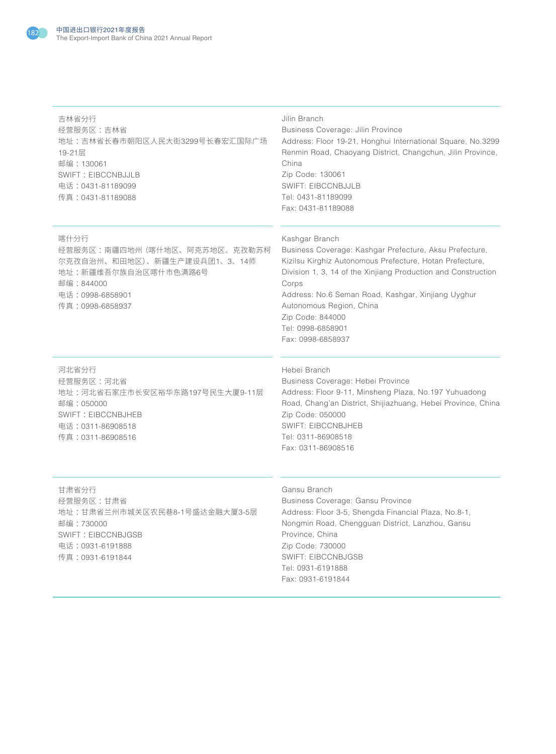

| 吉林省分行<br>经营服务区:吉林省<br>地址:吉林省长春市朝阳区人民大街3299号长春宏汇国际广场<br>19-21层<br>邮编: 130061<br><b>SWIFT: EIBCCNBJJLB</b><br>电话: 0431-81189099<br>传真: 0431-81189088 | Jilin Branch<br>Business Coverage: Jilin Province<br>Address: Floor 19-21, Honghui International Square, No.3299<br>Renmin Road, Chaoyang District, Changchun, Jilin Province,<br>China<br>Zip Code: 130061<br><b>SWIFT: EIBCCNBJJLB</b><br>Tel: 0431-81189099<br>Fax: 0431-81189088                                                                            |
|----------------------------------------------------------------------------------------------------------------------------------------------------|-----------------------------------------------------------------------------------------------------------------------------------------------------------------------------------------------------------------------------------------------------------------------------------------------------------------------------------------------------------------|
| 喀什分行<br>经营服务区:南疆四地州(喀什地区、阿克苏地区、克孜勒苏柯<br>尔克孜自治州、和田地区)、新疆生产建设兵团1、3、14师<br>地址:新疆维吾尔族自治区喀什市色满路6号<br>邮编:844000<br>电话: 0998-6858901<br>传真:0998-6858937   | Kashgar Branch<br>Business Coverage: Kashgar Prefecture, Aksu Prefecture,<br>Kizilsu Kirghiz Autonomous Prefecture, Hotan Prefecture,<br>Division 1, 3, 14 of the Xinjiang Production and Construction<br>Corps<br>Address: No.6 Seman Road, Kashgar, Xinjiang Uyghur<br>Autonomous Region, China<br>Zip Code: 844000<br>Tel: 0998-6858901<br>Fax: 0998-6858937 |
| 河北省分行<br>经营服务区:河北省<br>地址:河北省石家庄市长安区裕华东路197号民生大厦9-11层<br>邮编: 050000<br><b>SWIFT: EIBCCNBJHEB</b><br>电话: 0311-86908518<br>传真:0311-86908516           | Hebei Branch<br>Business Coverage: Hebei Province<br>Address: Floor 9-11, Minsheng Plaza, No.197 Yuhuadong<br>Road, Chang'an District, Shijiazhuang, Hebei Province, China<br>Zip Code: 050000<br><b>SWIFT: EIBCCNBJHEB</b><br>Tel: 0311-86908518<br>Fax: 0311-86908516                                                                                         |

甘肃省分行 经营服务区 :甘肃省 地址 :甘肃省兰州市城关区农民巷8-1号盛达金融大厦3-5层 邮编 :730000 SWIFT: EIBCCNBJGSB 电话 :0931-6191888 传真 :0931-6191844

### Gansu Branch

Business Coverage: Gansu Province Address: Floor 3-5, Shengda Financial Plaza, No.8-1, Nongmin Road, Chengguan District, Lanzhou, Gansu Province, China Zip Code: 730000 SWIFT: EIBCCNBJGSB Tel: 0931-6191888 Fax: 0931-6191844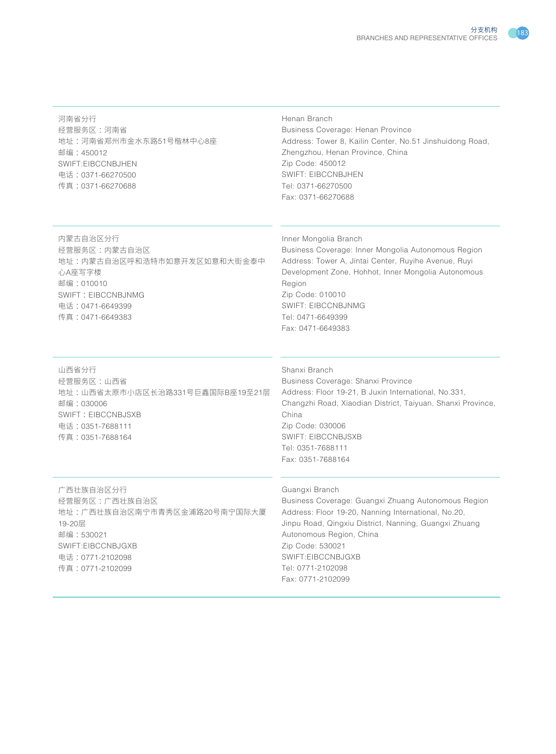河南省分行 经营服务区 :河南省 地址 :河南省郑州市金水东路51号楷林中心8座 邮编 :450012 SWIFT:EIBCCNBJHEN 电话 :0371-66270500 传真 :0371-66270688

#### Henan Branch

Business Coverage: Henan Province Address: Tower 8, Kailin Center, No.51 Jinshuidong Road, Zhengzhou, Henan Province, China Zip Code: 450012 SWIFT: EIBCCNBJHEN Tel: 0371-66270500 Fax: 0371-66270688

内蒙古自治区分行 经营服务区 :内蒙古自治区 地址 :内蒙古自治区呼和浩特市如意开发区如意和大街金泰中 心A座写字楼 邮编 :010010 SWIFT: EIBCCNBJNMG 电话 :0471-6649399 传真 :0471-6649383

#### Inner Mongolia Branch

Business Coverage: Inner Mongolia Autonomous Region Address: Tower A, Jintai Center, Ruyihe Avenue, Ruyi Development Zone, Hohhot, Inner Mongolia Autonomous Region Zip Code: 010010 SWIFT: EIBCCNBJNMG Tel: 0471-6649399 Fax: 0471-6649383

山西省分行 经营服务区 :山西省 地址 :山西省太原市小店区长治路331号巨鑫国际B座19至21层 邮编 :030006 SWIFT: EIBCCNBJSXB 电话 :0351-7688111 传真 :0351-7688164

#### Shanxi Branch

Business Coverage: Shanxi Province Address: Floor 19-21, B Juxin International, No.331, Changzhi Road, Xiaodian District, Taiyuan, Shanxi Province, China Zip Code: 030006 SWIFT: EIBCCNBJSXB Tel: 0351-7688111 Fax: 0351-7688164

广西壮族自治区分行 经营服务区 :广西壮族自治区 地址 :广西壮族自治区南宁市青秀区金浦路20号南宁国际大厦 19-20层 邮编 :530021 SWIFT:EIBCCNBJGXB 电话 :0771-2102098 传真 :0771-2102099

#### Guangxi Branch

Business Coverage: Guangxi Zhuang Autonomous Region Address: Floor 19-20, Nanning International, No.20, Jinpu Road, Qingxiu District, Nanning, Guangxi Zhuang Autonomous Region, China Zip Code: 530021 SWIFT:EIBCCNBJGXB Tel: 0771-2102098 Fax: 0771-2102099